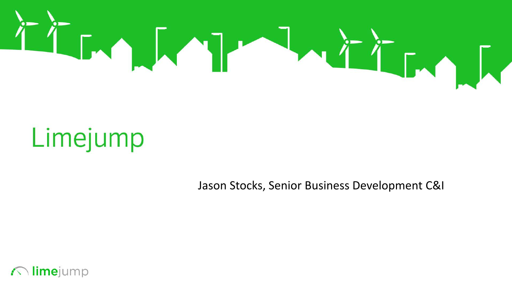

# Limejump

Jason Stocks, Senior Business Development C&I

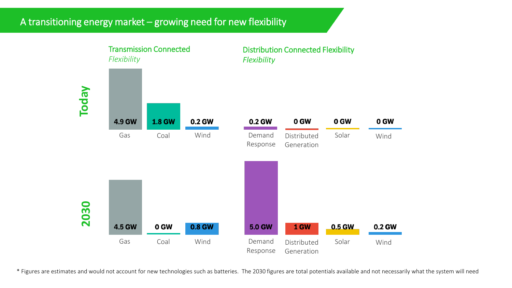### A transitioning energy market – growing need for new flexibility



\* Figures are estimates and would not account for new technologies such as batteries. The 2030 figures are total potentials available and not necessarily what the system will need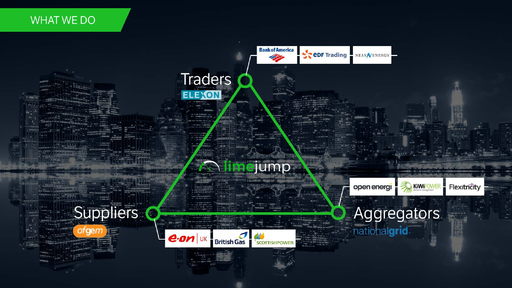### **WHAT WE DO**

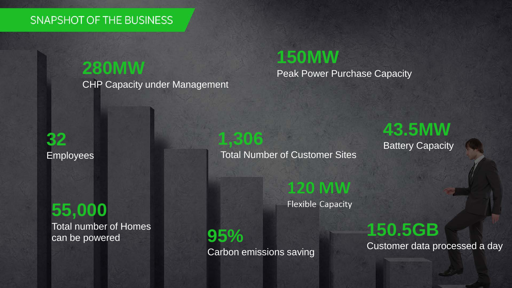### SNAPSHOT OF THE BUSINESS

## **150MW**<br>
Peak Power Purchase Capacity

CHP Capacity under Management

### **32** Employees

## **55,000**

Total number of Homes can be powered

**1,306**

**43.5MW** Battery Capacity

Total Number of Customer Sites

**120 MW** 

**Flexible Capacity** 

**95%** Carbon emissions saving **150.5GB**

Customer data processed a day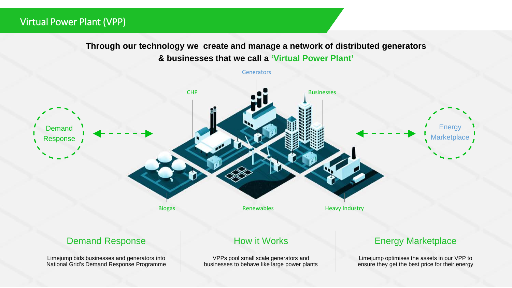### Virtual Power Plant (VPP)

**Through our technology we create and manage a network of distributed generators & businesses that we call a 'Virtual Power Plant'**



Limejump bids businesses and generators into National Grid's Demand Response Programme

VPPs pool small scale generators and businesses to behave like large power plants

ensure they get the best price for their energy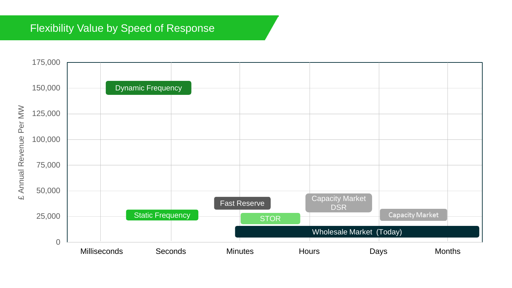### Flexibility Value by Speed of Response